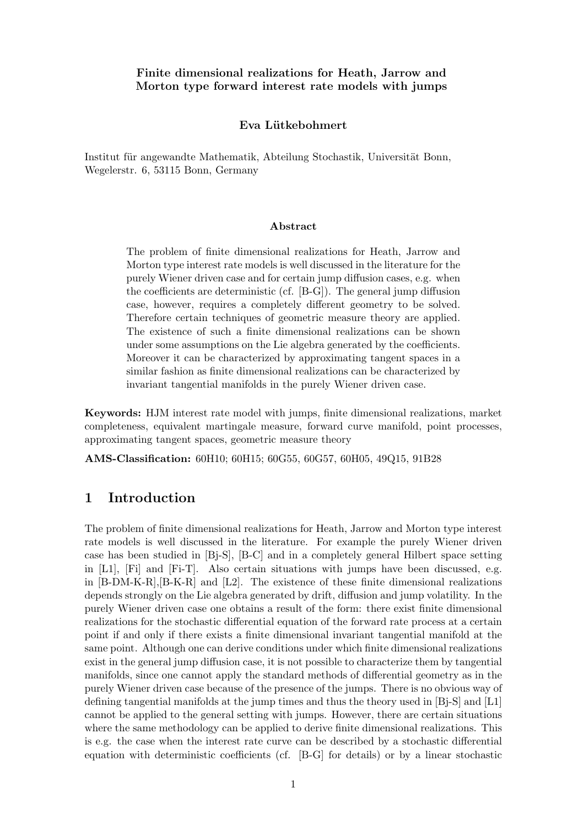## Finite dimensional realizations for Heath, Jarrow and Morton type forward interest rate models with jumps

## Eva Lütkebohmert

Institut für angewandte Mathematik, Abteilung Stochastik, Universität Bonn, Wegelerstr. 6, 53115 Bonn, Germany

### Abstract

The problem of finite dimensional realizations for Heath, Jarrow and Morton type interest rate models is well discussed in the literature for the purely Wiener driven case and for certain jump diffusion cases, e.g. when the coefficients are deterministic (cf. [B-G]). The general jump diffusion case, however, requires a completely different geometry to be solved. Therefore certain techniques of geometric measure theory are applied. The existence of such a finite dimensional realizations can be shown under some assumptions on the Lie algebra generated by the coefficients. Moreover it can be characterized by approximating tangent spaces in a similar fashion as finite dimensional realizations can be characterized by invariant tangential manifolds in the purely Wiener driven case.

Keywords: HJM interest rate model with jumps, finite dimensional realizations, market completeness, equivalent martingale measure, forward curve manifold, point processes, approximating tangent spaces, geometric measure theory

AMS-Classification: 60H10; 60H15; 60G55, 60G57, 60H05, 49Q15, 91B28

# 1 Introduction

The problem of finite dimensional realizations for Heath, Jarrow and Morton type interest rate models is well discussed in the literature. For example the purely Wiener driven case has been studied in [Bj-S], [B-C] and in a completely general Hilbert space setting in  $[L1]$ ,  $[Fi]$  and  $[Fi-T]$ . Also certain situations with jumps have been discussed, e.g. in  $[B-DM-K-R], [B-K-R]$  and  $[L2]$ . The existence of these finite dimensional realizations depends strongly on the Lie algebra generated by drift, diffusion and jump volatility. In the purely Wiener driven case one obtains a result of the form: there exist finite dimensional realizations for the stochastic differential equation of the forward rate process at a certain point if and only if there exists a finite dimensional invariant tangential manifold at the same point. Although one can derive conditions under which finite dimensional realizations exist in the general jump diffusion case, it is not possible to characterize them by tangential manifolds, since one cannot apply the standard methods of differential geometry as in the purely Wiener driven case because of the presence of the jumps. There is no obvious way of defining tangential manifolds at the jump times and thus the theory used in [Bj-S] and [L1] cannot be applied to the general setting with jumps. However, there are certain situations where the same methodology can be applied to derive finite dimensional realizations. This is e.g. the case when the interest rate curve can be described by a stochastic differential equation with deterministic coefficients (cf. [B-G] for details) or by a linear stochastic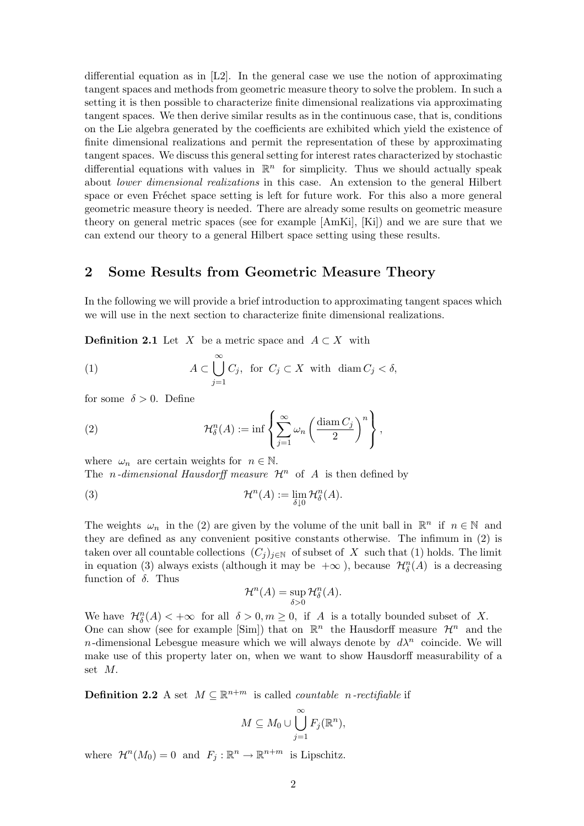differential equation as in  $[L2]$ . In the general case we use the notion of approximating tangent spaces and methods from geometric measure theory to solve the problem. In such a setting it is then possible to characterize finite dimensional realizations via approximating tangent spaces. We then derive similar results as in the continuous case, that is, conditions on the Lie algebra generated by the coefficients are exhibited which yield the existence of finite dimensional realizations and permit the representation of these by approximating tangent spaces. We discuss this general setting for interest rates characterized by stochastic differential equations with values in  $\mathbb{R}^n$  for simplicity. Thus we should actually speak about lower dimensional realizations in this case. An extension to the general Hilbert space or even Fréchet space setting is left for future work. For this also a more general geometric measure theory is needed. There are already some results on geometric measure theory on general metric spaces (see for example [AmKi], [Ki]) and we are sure that we can extend our theory to a general Hilbert space setting using these results.

## 2 Some Results from Geometric Measure Theory

In the following we will provide a brief introduction to approximating tangent spaces which we will use in the next section to characterize finite dimensional realizations.

**Definition 2.1** Let X be a metric space and  $A \subset X$  with

(1) 
$$
A \subset \bigcup_{j=1}^{\infty} C_j
$$
, for  $C_j \subset X$  with  $\operatorname{diam} C_j < \delta$ ,

for some  $\delta > 0$ . Define

(2) 
$$
\mathcal{H}_{\delta}^{n}(A) := \inf \left\{ \sum_{j=1}^{\infty} \omega_{n} \left( \frac{\text{diam } C_{j}}{2} \right)^{n} \right\},
$$

where  $\omega_n$  are certain weights for  $n \in \mathbb{N}$ . The *n*-dimensional Hausdorff measure  $\mathcal{H}^n$  of A is then defined by

(3) 
$$
\mathcal{H}^n(A) := \lim_{\delta \downarrow 0} \mathcal{H}^n_{\delta}(A).
$$

The weights  $\omega_n$  in the (2) are given by the volume of the unit ball in  $\mathbb{R}^n$  if  $n \in \mathbb{N}$  and they are defined as any convenient positive constants otherwise. The infimum in (2) is taken over all countable collections  $(C_j)_{j\in\mathbb{N}}$  of subset of X such that (1) holds. The limit in equation (3) always exists (although it may be  $+\infty$  ), because  $\mathcal{H}_{\delta}^n(A)$  is a decreasing function of  $\delta$ . Thus

$$
\mathcal{H}^n(A) = \sup_{\delta > 0} \mathcal{H}^n_{\delta}(A).
$$

We have  $\mathcal{H}_{\delta}^n(A) < +\infty$  for all  $\delta > 0, m \ge 0$ , if A is a totally bounded subset of X. One can show (see for example [Sim]) that on  $\mathbb{R}^n$  the Hausdorff measure  $\mathcal{H}^n$  and the n-dimensional Lebesgue measure which we will always denote by  $d\lambda^n$  coincide. We will make use of this property later on, when we want to show Hausdorff measurability of a set M.

**Definition 2.2** A set  $M \subseteq \mathbb{R}^{n+m}$  is called *countable n-rectifiable* if

$$
M \subseteq M_0 \cup \bigcup_{j=1}^{\infty} F_j(\mathbb{R}^n),
$$

where  $\mathcal{H}^n(M_0) = 0$  and  $F_j : \mathbb{R}^n \to \mathbb{R}^{n+m}$  is Lipschitz.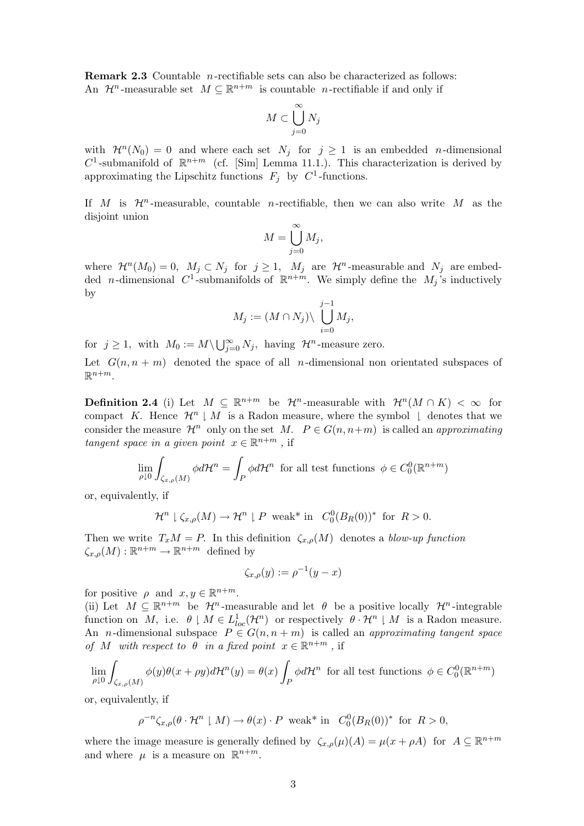Remark 2.3 Countable n-rectifiable sets can also be characterized as follows: An  $\mathcal{H}^n$ -measurable set  $M \subseteq \mathbb{R}^{n+m}$  is countable *n*-rectifiable if and only if

$$
M\subset \bigcup_{j=0}^\infty N_j
$$

with  $\mathcal{H}^n(N_0) = 0$  and where each set  $N_j$  for  $j \geq 1$  is an embedded *n*-dimensional  $C^1$ -submanifold of  $\mathbb{R}^{n+m}$  (cf. [Sim] Lemma 11.1.). This characterization is derived by approximating the Lipschitz functions  $F_j$  by  $C^1$ -functions.

If M is  $\mathcal{H}^n$ -measurable, countable *n*-rectifiable, then we can also write M as the disjoint union

$$
M = \bigcup_{j=0}^{\infty} M_j,
$$

where  $\mathcal{H}^n(M_0) = 0$ ,  $M_j \subset N_j$  for  $j \geq 1$ ,  $M_j$  are  $\mathcal{H}^n$ -measurable and  $N_j$  are embedded *n*-dimensional C<sup>1</sup>-submanifolds of  $\mathbb{R}^{n+m}$ . We simply define the  $M_j$ 's inductively by

$$
M_j := (M \cap N_j) \setminus \bigcup_{i=0}^{j-1} M_j,
$$

for  $j \geq 1$ , with  $M_0 := M \setminus \bigcup_{j=0}^{\infty} N_j$ , having  $\mathcal{H}^n$ -measure zero.

Let  $G(n, n + m)$  denoted the space of all *n*-dimensional non orientated subspaces of  $\mathbb{R}^{n+m}$ .

**Definition 2.4** (i) Let  $M \subseteq \mathbb{R}^{n+m}$  be  $\mathcal{H}^n$ -measurable with  $\mathcal{H}^n(M \cap K) < \infty$  for compact K. Hence  $\mathcal{H}^n \downharpoonright M$  is a Radon measure, where the symbol  $\downharpoonright$  denotes that we consider the measure  $\mathcal{H}^n$  only on the set M.  $P \in G(n, n+m)$  is called an approximating tangent space in a given point  $x \in \mathbb{R}^{n+m}$ , if

$$
\lim_{\rho \downarrow 0} \int_{\zeta_{x,\rho}(M)} \phi d\mathcal{H}^n = \int_P \phi d\mathcal{H}^n
$$
 for all test functions  $\phi \in C_0^0(\mathbb{R}^{n+m})$ 

or, equivalently, if

$$
\mathcal{H}^n \downharpoonright \zeta_{x,\rho}(M) \to \mathcal{H}^n \downharpoonright P \text{ weak* in } C_0^0(B_R(0))^* \text{ for } R > 0.
$$

Then we write  $T_xM = P$ . In this definition  $\zeta_{x,\rho}(M)$  denotes a blow-up function  $\zeta_{x,\rho}(M): \mathbb{R}^{n+m} \to \mathbb{R}^{n+m}$  defined by

$$
\zeta_{x,\rho}(y):=\rho^{-1}(y-x)
$$

for positive  $\rho$  and  $x, y \in \mathbb{R}^{n+m}$ .

(ii) Let  $M \subseteq \mathbb{R}^{n+m}$  be  $\mathcal{H}^n$ -measurable and let  $\theta$  be a positive locally  $\mathcal{H}^n$ -integrable function on M, i.e.  $\theta \mid M \in L^1_{loc}(\mathcal{H}^n)$  or respectively  $\theta \cdot \mathcal{H}^n \mid M$  is a Radon measure. An *n*-dimensional subspace  $P \in G(n, n+m)$  is called an *approximating tangent space* of M with respect to  $\theta$  in a fixed point  $x \in \mathbb{R}^{n+m}$ , if

$$
\lim_{\rho \downarrow 0} \int_{\zeta_{x,\rho}(M)} \phi(y)\theta(x+\rho y)d\mathcal{H}^n(y) = \theta(x) \int_P \phi d\mathcal{H}^n \text{ for all test functions } \phi \in C_0^0(\mathbb{R}^{n+m})
$$

or, equivalently, if

 $\rho^{-n}\zeta_{x,\rho}(\theta \cdot \mathcal{H}^n \mid M) \to \theta(x) \cdot P$  weak\* in  $C_0^0(B_R(0))^*$  for  $R > 0$ ,

where the image measure is generally defined by  $\zeta_{x,\rho}(\mu)(A) = \mu(x + \rho A)$  for  $A \subseteq \mathbb{R}^{n+m}$ and where  $\mu$  is a measure on  $\mathbb{R}^{n+m}$ .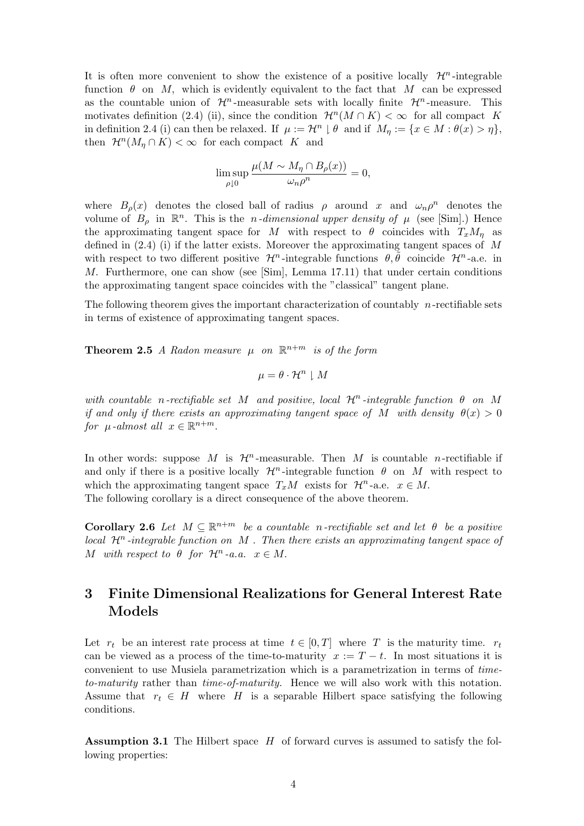It is often more convenient to show the existence of a positive locally  $\mathcal{H}^n$ -integrable function  $\theta$  on M, which is evidently equivalent to the fact that M can be expressed as the countable union of  $\mathcal{H}^n$ -measurable sets with locally finite  $\mathcal{H}^n$ -measure. This motivates definition (2.4) (ii), since the condition  $\mathcal{H}^n(M \cap K) < \infty$  for all compact K in definition 2.4 (i) can then be relaxed. If  $\mu := \mathcal{H}^n \downharpoonright \theta$  and if  $M_\eta := \{x \in M : \theta(x) > \eta\},\$ then  $\mathcal{H}^n(M_n \cap K) < \infty$  for each compact K and

$$
\limsup_{\rho \downarrow 0} \frac{\mu(M \sim M_\eta \cap B_\rho(x))}{\omega_n \rho^n} = 0,
$$

where  $B_{\rho}(x)$  denotes the closed ball of radius  $\rho$  around x and  $\omega_n \rho^n$  denotes the volume of  $B_\rho$  in  $\mathbb{R}^n$ . This is the *n*-dimensional upper density of  $\mu$  (see [Sim].) Hence the approximating tangent space for M with respect to  $\theta$  coincides with  $T_xM_n$  as defined in  $(2.4)$  (i) if the latter exists. Moreover the approximating tangent spaces of M with respect to two different positive  $\mathcal{H}^n$ -integrable functions  $\theta, \tilde{\theta}$  coincide  $\mathcal{H}^n$ -a.e. in M. Furthermore, one can show (see [Sim], Lemma 17.11) that under certain conditions the approximating tangent space coincides with the "classical" tangent plane.

The following theorem gives the important characterization of countably  $n$ -rectifiable sets in terms of existence of approximating tangent spaces.

**Theorem 2.5** A Radon measure  $\mu$  on  $\mathbb{R}^{n+m}$  is of the form

$$
\mu = \theta \cdot \mathcal{H}^n \downharpoonright M
$$

with countable n-rectifiable set M and positive, local  $\mathcal{H}^n$ -integrable function  $\theta$  on M if and only if there exists an approximating tangent space of M with density  $\theta(x) > 0$ for  $\mu$ -almost all  $x \in \mathbb{R}^{n+m}$ .

In other words: suppose M is  $\mathcal{H}^n$ -measurable. Then M is countable n-rectifiable if and only if there is a positive locally  $\mathcal{H}^n$ -integrable function  $\theta$  on M with respect to which the approximating tangent space  $T_xM$  exists for  $\mathcal{H}^n$ -a.e.  $x \in M$ . The following corollary is a direct consequence of the above theorem.

**Corollary 2.6** Let  $M \subseteq \mathbb{R}^{n+m}$  be a countable n-rectifiable set and let  $\theta$  be a positive local  $\mathcal{H}^n$ -integrable function on M. Then there exists an approximating tangent space of M with respect to  $\theta$  for  $\mathcal{H}^n$ -a.a.  $x \in M$ .

# 3 Finite Dimensional Realizations for General Interest Rate Models

Let  $r_t$  be an interest rate process at time  $t \in [0,T]$  where T is the maturity time.  $r_t$ can be viewed as a process of the time-to-maturity  $x := T - t$ . In most situations it is convenient to use Musiela parametrization which is a parametrization in terms of timeto-maturity rather than time-of-maturity. Hence we will also work with this notation. Assume that  $r_t \in H$  where H is a separable Hilbert space satisfying the following conditions.

**Assumption 3.1** The Hilbert space  $H$  of forward curves is assumed to satisfy the following properties: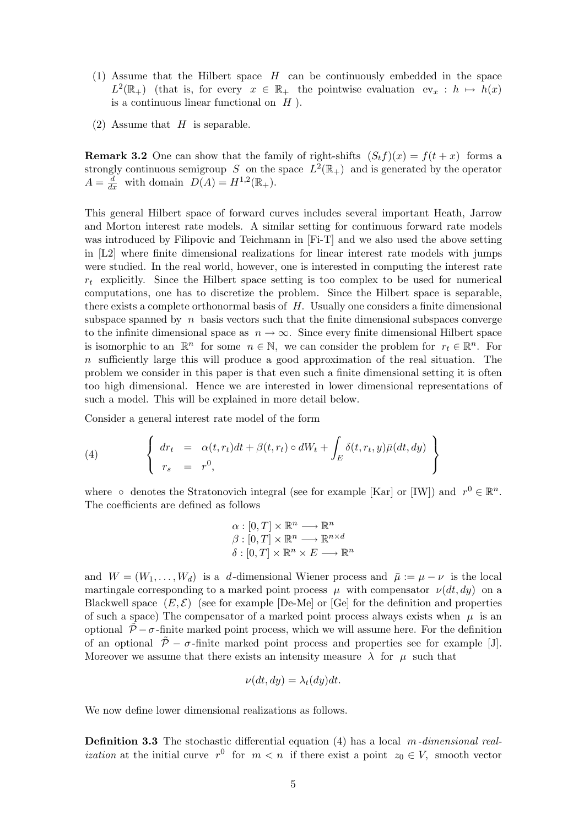- (1) Assume that the Hilbert space  $H$  can be continuously embedded in the space  $L^2(\mathbb{R}_+)$  (that is, for every  $x \in \mathbb{R}_+$  the pointwise evaluation  $ev_x : h \mapsto h(x)$ is a continuous linear functional on  $H$ ).
- (2) Assume that  $H$  is separable.

**Remark 3.2** One can show that the family of right-shifts  $(S_t f)(x) = f(t + x)$  forms a strongly continuous semigroup S on the space  $L^2(\mathbb{R}_+)$  and is generated by the operator  $A = \frac{d}{dx}$  with domain  $D(A) = H^{1,2}(\mathbb{R}_+).$ 

This general Hilbert space of forward curves includes several important Heath, Jarrow and Morton interest rate models. A similar setting for continuous forward rate models was introduced by Filipovic and Teichmann in [Fi-T] and we also used the above setting in [L2] where finite dimensional realizations for linear interest rate models with jumps were studied. In the real world, however, one is interested in computing the interest rate  $r_t$  explicitly. Since the Hilbert space setting is too complex to be used for numerical computations, one has to discretize the problem. Since the Hilbert space is separable, there exists a complete orthonormal basis of H. Usually one considers a finite dimensional subspace spanned by  $n$  basis vectors such that the finite dimensional subspaces converge to the infinite dimensional space as  $n \to \infty$ . Since every finite dimensional Hilbert space is isomorphic to an  $\mathbb{R}^n$  for some  $n \in \mathbb{N}$ , we can consider the problem for  $r_t \in \mathbb{R}^n$ . For n sufficiently large this will produce a good approximation of the real situation. The problem we consider in this paper is that even such a finite dimensional setting it is often too high dimensional. Hence we are interested in lower dimensional representations of such a model. This will be explained in more detail below.

Consider a general interest rate model of the form

(4) 
$$
\begin{cases} dr_t = \alpha(t, r_t)dt + \beta(t, r_t) \circ dW_t + \int_E \delta(t, r_t, y)\bar{\mu}(dt, dy) \\ r_s = r^0, \end{cases}
$$

where  $\circ$  denotes the Stratonovich integral (see for example [Kar] or [IW]) and  $r^0 \in \mathbb{R}^n$ . The coefficients are defined as follows

$$
\alpha : [0, T] \times \mathbb{R}^n \longrightarrow \mathbb{R}^n
$$

$$
\beta : [0, T] \times \mathbb{R}^n \longrightarrow \mathbb{R}^{n \times d}
$$

$$
\delta : [0, T] \times \mathbb{R}^n \times E \longrightarrow \mathbb{R}^n
$$

and  $W = (W_1, \ldots, W_d)$  is a d-dimensional Wiener process and  $\bar{\mu} := \mu - \nu$  is the local martingale corresponding to a marked point process  $\mu$  with compensator  $\nu(dt, dy)$  on a Blackwell space  $(E, \mathcal{E})$  (see for example De-Me) or  $\text{[Ge]}$  for the definition and properties of such a space) The compensator of a marked point process always exists when  $\mu$  is an optional  $\tilde{\mathcal{P}} - \sigma$ -finite marked point process, which we will assume here. For the definition of an optional  $\tilde{\mathcal{P}}$  –  $\sigma$ -finite marked point process and properties see for example [J]. Moreover we assume that there exists an intensity measure  $\lambda$  for  $\mu$  such that

$$
\nu(dt, dy) = \lambda_t(dy)dt.
$$

We now define lower dimensional realizations as follows.

**Definition 3.3** The stochastic differential equation (4) has a local m-dimensional real*ization* at the initial curve  $r^0$  for  $m < n$  if there exist a point  $z_0 \in V$ , smooth vector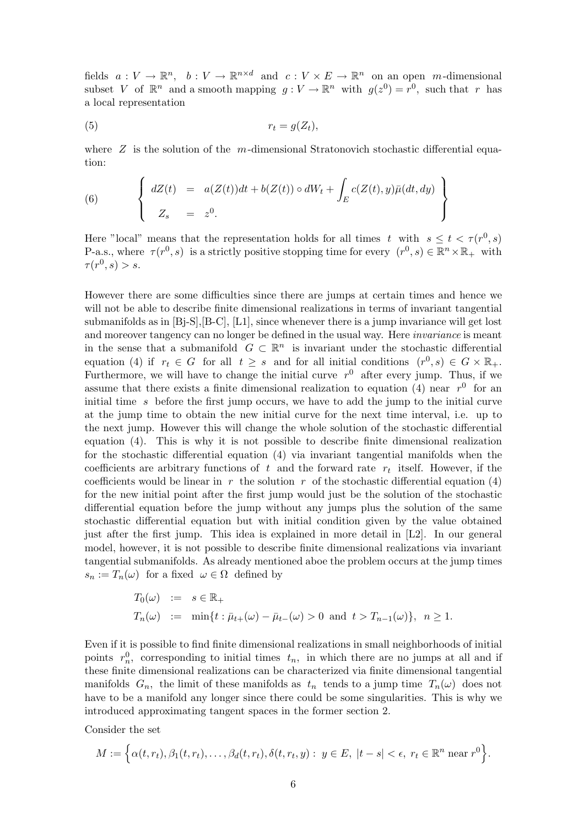fields  $a: V \to \mathbb{R}^n$ ,  $b: V \to \mathbb{R}^{n \times d}$  and  $c: V \times E \to \mathbb{R}^n$  on an open m-dimensional subset V of  $\mathbb{R}^n$  and a smooth mapping  $g: V \to \mathbb{R}^n$  with  $g(z^0) = r^0$ , such that r has a local representation

(5) r<sup>t</sup> = g(Zt),

where  $Z$  is the solution of the m-dimensional Stratonovich stochastic differential equation:

(6) 
$$
\begin{cases} dZ(t) = a(Z(t))dt + b(Z(t)) \circ dW_t + \int_E c(Z(t), y)\bar{\mu}(dt, dy) \\ Z_s = z^0. \end{cases}
$$

Here "local" means that the representation holds for all times t with  $s \leq t < \tau(r^0, s)$ P-a.s., where  $\tau(r^0, s)$  is a strictly positive stopping time for every  $(r^0, s) \in \mathbb{R}^n \times \mathbb{R}_+$  with  $\tau(r^0,s) > s.$ 

However there are some difficulties since there are jumps at certain times and hence we will not be able to describe finite dimensional realizations in terms of invariant tangential submanifolds as in  $[B<sub>i</sub>-S], [B-C], [L1],$  since whenever there is a jump invariance will get lost and moreover tangency can no longer be defined in the usual way. Here *invariance* is meant in the sense that a submanifold  $G \subset \mathbb{R}^n$  is invariant under the stochastic differential equation (4) if  $r_t \in G$  for all  $t \geq s$  and for all initial conditions  $(r^0, s) \in G \times \mathbb{R}_+$ . Furthermore, we will have to change the initial curve  $r^0$  after every jump. Thus, if we assume that there exists a finite dimensional realization to equation (4) near  $r^0$  for an initial time s before the first jump occurs, we have to add the jump to the initial curve at the jump time to obtain the new initial curve for the next time interval, i.e. up to the next jump. However this will change the whole solution of the stochastic differential equation (4). This is why it is not possible to describe finite dimensional realization for the stochastic differential equation (4) via invariant tangential manifolds when the coefficients are arbitrary functions of  $t$  and the forward rate  $r_t$  itself. However, if the coefficients would be linear in r the solution r of the stochastic differential equation (4) for the new initial point after the first jump would just be the solution of the stochastic differential equation before the jump without any jumps plus the solution of the same stochastic differential equation but with initial condition given by the value obtained just after the first jump. This idea is explained in more detail in [L2]. In our general model, however, it is not possible to describe finite dimensional realizations via invariant tangential submanifolds. As already mentioned aboe the problem occurs at the jump times  $s_n := T_n(\omega)$  for a fixed  $\omega \in \Omega$  defined by

$$
T_0(\omega) := s \in \mathbb{R}_+ T_n(\omega) := \min\{t : \bar{\mu}_{t+}(\omega) - \bar{\mu}_{t-}(\omega) > 0 \text{ and } t > T_{n-1}(\omega)\}, \ \ n \ge 1.
$$

Even if it is possible to find finite dimensional realizations in small neighborhoods of initial points  $r_n^0$ , corresponding to initial times  $t_n$ , in which there are no jumps at all and if these finite dimensional realizations can be characterized via finite dimensional tangential manifolds  $G_n$ , the limit of these manifolds as  $t_n$  tends to a jump time  $T_n(\omega)$  does not have to be a manifold any longer since there could be some singularities. This is why we introduced approximating tangent spaces in the former section 2.

Consider the set

$$
M := \Big\{\alpha(t,r_t), \beta_1(t,r_t), \ldots, \beta_d(t,r_t), \delta(t,r_t,y): y \in E, \ |t-s| < \epsilon, \ r_t \in \mathbb{R}^n \text{ near } r^0 \Big\}.
$$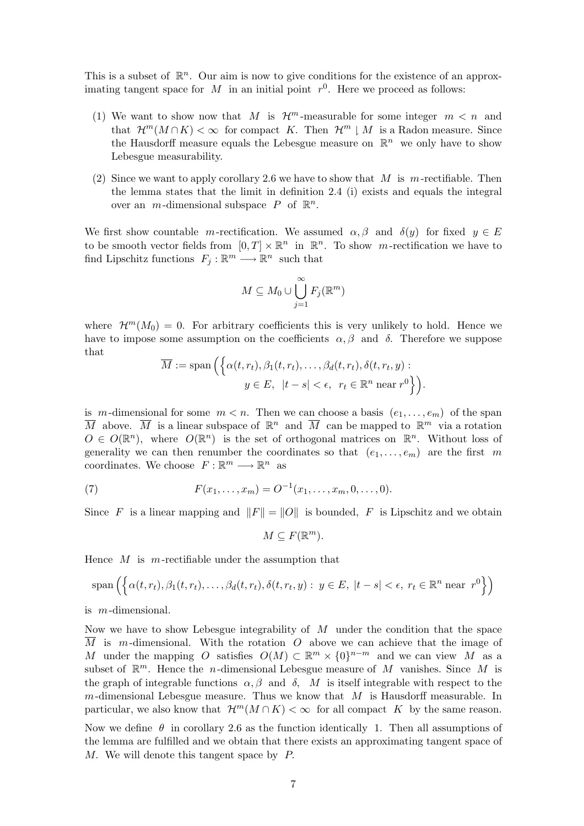This is a subset of  $\mathbb{R}^n$ . Our aim is now to give conditions for the existence of an approximating tangent space for M in an initial point  $r^0$ . Here we proceed as follows:

- (1) We want to show now that M is  $\mathcal{H}^m$ -measurable for some integer  $m < n$  and that  $\mathcal{H}^m(M \cap K) < \infty$  for compact K. Then  $\mathcal{H}^m \downharpoonright M$  is a Radon measure. Since the Hausdorff measure equals the Lebesgue measure on  $\mathbb{R}^n$  we only have to show Lebesgue measurability.
- (2) Since we want to apply corollary 2.6 we have to show that M is m-rectifiable. Then the lemma states that the limit in definition 2.4 (i) exists and equals the integral over an  $m$ -dimensional subspace  $P$  of  $\mathbb{R}^n$ .

We first show countable m-rectification. We assumed  $\alpha, \beta$  and  $\delta(y)$  for fixed  $y \in E$ to be smooth vector fields from  $[0, T] \times \mathbb{R}^n$  in  $\mathbb{R}^n$ . To show m-rectification we have to find Lipschitz functions  $F_j : \mathbb{R}^m \longrightarrow \mathbb{R}^n$  such that

$$
M\subseteq M_0\cup\bigcup_{j=1}^{\infty}F_j(\mathbb{R}^m)
$$

where  $\mathcal{H}^m(M_0) = 0$ . For arbitrary coefficients this is very unlikely to hold. Hence we have to impose some assumption on the coefficients  $\alpha, \beta$  and  $\delta$ . Therefore we suppose that

$$
\overline{M} := \text{span}\left(\left\{\alpha(t, r_t), \beta_1(t, r_t), \dots, \beta_d(t, r_t), \delta(t, r_t, y) : y \in E, \ |t - s| < \epsilon, \ r_t \in \mathbb{R}^n \text{ near } r^0\right\}\right).
$$

is m-dimensional for some  $m < n$ . Then we can choose a basis  $(e_1, \ldots, e_m)$  of the span  $\overline{M}$  above.  $\overline{M}$  is a linear subspace of  $\mathbb{R}^n$  and  $\overline{M}$  can be mapped to  $\mathbb{R}^m$  via a rotation  $O \in O(\mathbb{R}^n)$ , where  $O(\mathbb{R}^n)$  is the set of orthogonal matrices on  $\mathbb{R}^n$ . Without loss of generality we can then renumber the coordinates so that  $(e_1, \ldots, e_m)$  are the first m coordinates. We choose  $F: \mathbb{R}^m \longrightarrow \mathbb{R}^n$  as

(7) 
$$
F(x_1,...,x_m) = O^{-1}(x_1,...,x_m,0,...,0).
$$

Since F is a linear mapping and  $||F|| = ||O||$  is bounded, F is Lipschitz and we obtain

$$
M \subseteq F(\mathbb{R}^m).
$$

Hence  $M$  is m-rectifiable under the assumption that

$$
\text{span}\left(\left\{\alpha(t,r_t),\beta_1(t,r_t),\ldots,\beta_d(t,r_t),\delta(t,r_t,y): y \in E, \ |t-s| < \epsilon, \ r_t \in \mathbb{R}^n \text{ near } r^0\right\}\right)
$$

is m-dimensional.

Now we have to show Lebesgue integrability of M under the condition that the space  $\overline{M}$  is m-dimensional. With the rotation O above we can achieve that the image of M under the mapping O satisfies  $O(M) \subset \mathbb{R}^m \times \{0\}^{n-m}$  and we can view M as a subset of  $\mathbb{R}^m$ . Hence the *n*-dimensional Lebesgue measure of M vanishes. Since M is the graph of integrable functions  $\alpha, \beta$  and  $\delta$ , M is itself integrable with respect to the m-dimensional Lebesgue measure. Thus we know that  $M$  is Hausdorff measurable. In particular, we also know that  $\mathcal{H}^m(M \cap K) < \infty$  for all compact K by the same reason.

Now we define  $\theta$  in corollary 2.6 as the function identically 1. Then all assumptions of the lemma are fulfilled and we obtain that there exists an approximating tangent space of M. We will denote this tangent space by P.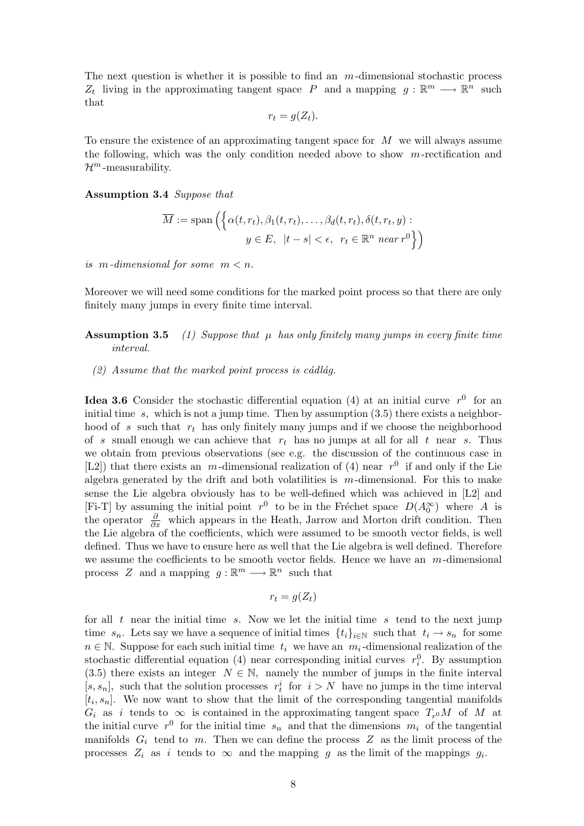The next question is whether it is possible to find an  $m$ -dimensional stochastic process  $Z_t$  living in the approximating tangent space P and a mapping  $g: \mathbb{R}^m \longrightarrow \mathbb{R}^n$  such that

$$
r_t = g(Z_t).
$$

To ensure the existence of an approximating tangent space for  $M$  we will always assume the following, which was the only condition needed above to show  $m$ -rectification and  $\mathcal{H}^m$ -measurability.

#### Assumption 3.4 Suppose that

$$
\overline{M} := \text{span}\left(\left\{\alpha(t, r_t), \beta_1(t, r_t), \dots, \beta_d(t, r_t), \delta(t, r_t, y) : \right\}
$$

$$
y \in E, \ |t - s| < \epsilon, \ r_t \in \mathbb{R}^n \text{ near } r^0\right\}\right)
$$

is m-dimensional for some  $m < n$ .

Moreover we will need some conditions for the marked point process so that there are only finitely many jumps in every finite time interval.

## **Assumption 3.5** (1) Suppose that  $\mu$  has only finitely many jumps in every finite time interval.

 $(2)$  Assume that the marked point process is cádlág.

**Idea 3.6** Consider the stochastic differential equation (4) at an initial curve  $r^0$  for an initial time  $s$ , which is not a jump time. Then by assumption  $(3.5)$  there exists a neighborhood of s such that  $r_t$  has only finitely many jumps and if we choose the neighborhood of s small enough we can achieve that  $r_t$  has no jumps at all for all t near s. Thus we obtain from previous observations (see e.g. the discussion of the continuous case in [L2]) that there exists an  $m$ -dimensional realization of (4) near  $r^0$  if and only if the Lie algebra generated by the drift and both volatilities is  $m$ -dimensional. For this to make sense the Lie algebra obviously has to be well-defined which was achieved in [L2] and [Fi-T] by assuming the initial point  $r^0$  to be in the Fréchet space  $D(A_0^{\infty})$  where A is the operator  $\frac{\partial}{\partial x}$  which appears in the Heath, Jarrow and Morton drift condition. Then the Lie algebra of the coefficients, which were assumed to be smooth vector fields, is well defined. Thus we have to ensure here as well that the Lie algebra is well defined. Therefore we assume the coefficients to be smooth vector fields. Hence we have an  $m$ -dimensional process Z and a mapping  $g : \mathbb{R}^m \longrightarrow \mathbb{R}^n$  such that

$$
r_t = g(Z_t)
$$

for all  $t$  near the initial time s. Now we let the initial time s tend to the next jump time  $s_n$ . Lets say we have a sequence of initial times  $\{t_i\}_{i\in\mathbb{N}}$  such that  $t_i \to s_n$  for some  $n \in \mathbb{N}$ . Suppose for each such initial time  $t_i$  we have an  $m_i$ -dimensional realization of the stochastic differential equation (4) near corresponding initial curves  $r_i^0$ . By assumption (3.5) there exists an integer  $N \in \mathbb{N}$ , namely the number of jumps in the finite interval [s, s<sub>n</sub>], such that the solution processes  $r_t^i$  for  $i > N$  have no jumps in the time interval  $[t_i, s_n]$ . We now want to show that the limit of the corresponding tangential manifolds  $G_i$  as i tends to  $\infty$  is contained in the approximating tangent space  $T_{r0}M$  of M at the initial curve  $r^0$  for the initial time  $s_n$  and that the dimensions  $m_i$  of the tangential manifolds  $G_i$  tend to m. Then we can define the process Z as the limit process of the processes  $Z_i$  as i tends to  $\infty$  and the mapping g as the limit of the mappings  $g_i$ .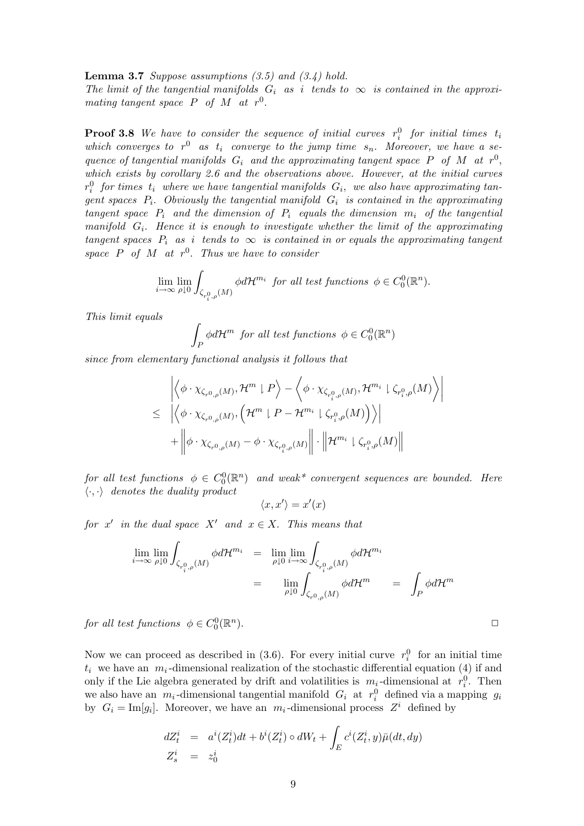**Lemma 3.7** Suppose assumptions  $(3.5)$  and  $(3.4)$  hold. The limit of the tangential manifolds  $G_i$  as i tends to  $\infty$  is contained in the approximating tangent space  $P$  of  $M$  at  $r^0$ .

**Proof 3.8** We have to consider the sequence of initial curves  $r_i^0$  for initial times  $t_i$ which converges to  $r^0$  as  $t_i$  converge to the jump time  $s_n$ . Moreover, we have a sequence of tangential manifolds  $G_i$  and the approximating tangent space P of M at  $r^0$ , which exists by corollary 2.6 and the observations above. However, at the initial curves  $r_i^0$  for times  $t_i$  where we have tangential manifolds  $G_i$ , we also have approximating tangent spaces  $P_i$ . Obviously the tangential manifold  $G_i$  is contained in the approximating tangent space  $P_i$  and the dimension of  $P_i$  equals the dimension  $m_i$  of the tangential manifold  $G_i$ . Hence it is enough to investigate whether the limit of the approximating tangent spaces  $P_i$  as i tends to  $\infty$  is contained in or equals the approximating tangent space P of M at  $r^0$ . Thus we have to consider

$$
\lim_{i\to\infty}\lim_{\rho\downarrow 0}\int_{\zeta_{r_i^0,\rho}(M)}\phi d\mathcal{H}^{m_i} \ \ for \ all \ test \ functions \ \phi\in C_0^0(\mathbb{R}^n).
$$

This limit equals

$$
\int_P \phi d\mathcal{H}^m \text{ for all test functions } \phi \in C_0^0(\mathbb{R}^n)
$$

since from elementary functional analysis it follows that

$$
\begin{aligned} &\left| \left\langle \phi \cdot \chi_{\zeta_{r^0, \rho}(M)}, \mathcal{H}^m \downharpoonright P \right\rangle - \left\langle \phi \cdot \chi_{\zeta_{r^0_{i}, \rho}(M)}, \mathcal{H}^{m_i} \downharpoonright \zeta_{r^0_{i}, \rho}(M) \right\rangle \right| \\ &\leq \left| \left\langle \phi \cdot \chi_{\zeta_{r^0, \rho}(M)}, \left( \mathcal{H}^m \downharpoonright P - \mathcal{H}^{m_i} \downharpoonright \zeta_{r^0_{i}, \rho}(M) \right) \right\rangle \right| \\ &+ \left\| \phi \cdot \chi_{\zeta_{r^0, \rho}(M)} - \phi \cdot \chi_{\zeta_{r^0_{i}, \rho}(M)} \right\| \cdot \left\| \mathcal{H}^{m_i} \downharpoonright \zeta_{r^0_{i}, \rho}(M) \right\| \end{aligned}
$$

for all test functions  $\phi \in C_0^0(\mathbb{R}^n)$  and weak\* convergent sequences are bounded. Here  $\langle \cdot, \cdot \rangle$  denotes the duality product

$$
\langle x,x'\rangle=x'(x)
$$

for x' in the dual space X' and  $x \in X$ . This means that

$$
\lim_{i \to \infty} \lim_{\rho \downarrow 0} \int_{\zeta_{r_i^0, \rho}(M)} \phi d\mathcal{H}^{m_i} = \lim_{\rho \downarrow 0} \lim_{i \to \infty} \int_{\zeta_{r_i^0, \rho}(M)} \phi d\mathcal{H}^{m_i}
$$
\n
$$
= \lim_{\rho \downarrow 0} \int_{\zeta_{r_0^0, \rho}(M)} \phi d\mathcal{H}^{m} = \int_P \phi d\mathcal{H}^{m}
$$

for all test functions  $\phi \in C_0^0(\mathbb{R}^n)$ ).  $\qquad \qquad \Box$ 

Now we can proceed as described in (3.6). For every initial curve  $r_i^0$  for an initial time  $t_i$  we have an  $m_i$ -dimensional realization of the stochastic differential equation (4) if and only if the Lie algebra generated by drift and volatilities is  $m_i$ -dimensional at  $r_i^0$ . Then we also have an  $m_i$ -dimensional tangential manifold  $G_i$  at  $r_i^0$  defined via a mapping  $g_i$ by  $G_i = \text{Im}[g_i]$ . Moreover, we have an  $m_i$ -dimensional process  $Z^i$  defined by

$$
dZ_t^i = a^i(Z_t^i)dt + b^i(Z_t^i) \circ dW_t + \int_E c^i(Z_t^i, y)\bar{\mu}(dt, dy)
$$
  

$$
Z_s^i = z_0^i
$$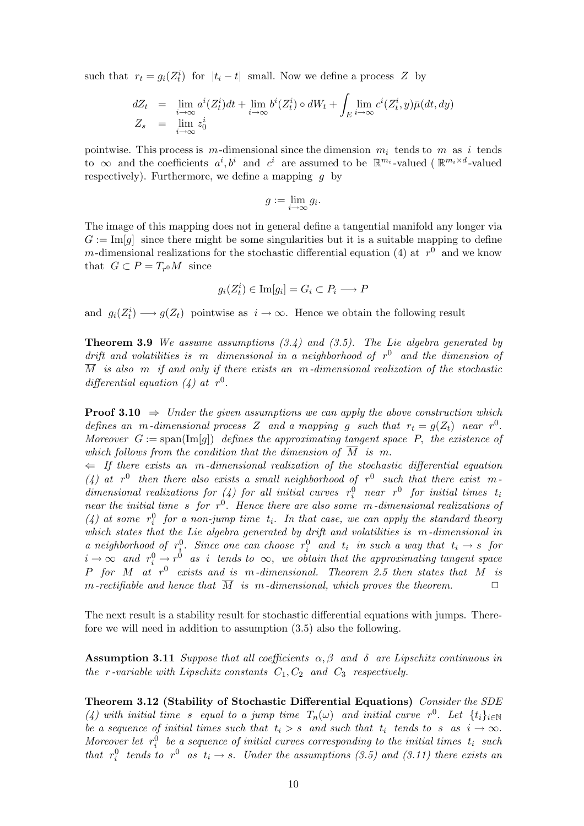such that  $r_t = g_i(Z_t^i)$  for  $|t_i - t|$  small. Now we define a process Z by

$$
dZ_t = \lim_{i \to \infty} a^i (Z_t^i) dt + \lim_{i \to \infty} b^i (Z_t^i) \circ dW_t + \int_E \lim_{i \to \infty} c^i (Z_t^i, y) \bar{\mu}(dt, dy)
$$
  

$$
Z_s = \lim_{i \to \infty} z_0^i
$$

pointwise. This process is  $m$ -dimensional since the dimension  $m_i$  tends to  $m$  as i tends to  $\infty$  and the coefficients  $a^i, b^i$  and  $c^i$  are assumed to be  $\mathbb{R}^{m_i}$ -valued ( $\mathbb{R}^{m_i \times d}$ -valued respectively). Furthermore, we define a mapping  $g$  by

$$
g := \lim_{i \to \infty} g_i.
$$

The image of this mapping does not in general define a tangential manifold any longer via  $G := \text{Im}[q]$  since there might be some singularities but it is a suitable mapping to define m-dimensional realizations for the stochastic differential equation (4) at  $r^0$  and we know that  $G \subset P = T_{r0}M$  since

$$
g_i(Z_t^i) \in \mathrm{Im}[g_i] = G_i \subset P_i \longrightarrow P
$$

and  $g_i(Z_t^i) \longrightarrow g(Z_t)$  pointwise as  $i \to \infty$ . Hence we obtain the following result

**Theorem 3.9** We assume assumptions  $(3.4)$  and  $(3.5)$ . The Lie algebra generated by drift and volatilities is m dimensional in a neighborhood of  $r^0$  and the dimension of  $\overline{M}$  is also m if and only if there exists an m-dimensional realization of the stochastic differential equation (4) at  $r^0$ .

**Proof 3.10**  $\Rightarrow$  Under the given assumptions we can apply the above construction which defines an m-dimensional process Z and a mapping g such that  $r_t = g(Z_t)$  near  $r^0$ . Moreover  $G := \text{span}(\text{Im}[g])$  defines the approximating tangent space P, the existence of which follows from the condition that the dimension of  $\overline{M}$  is m.

 $\Leftarrow$  If there exists an m-dimensional realization of the stochastic differential equation (4) at  $r^0$  then there also exists a small neighborhood of  $r^0$  such that there exist mdimensional realizations for (4) for all initial curves  $r_i^0$  near  $r^0$  for initial times  $t_i$ near the initial time s for  $r^0$ . Hence there are also some m-dimensional realizations of (4) at some  $r_i^0$  for a non-jump time  $t_i$ . In that case, we can apply the standard theory which states that the Lie algebra generated by drift and volatilities is m-dimensional in a neighborhood of  $r_i^0$ . Since one can choose  $r_i^0$  and  $t_i$  in such a way that  $t_i \rightarrow s$  for  $i \to \infty$  and  $r_i^0 \to r^0$  as i tends to  $\infty$ , we obtain that the approximating tangent space P for M at  $r^0$  exists and is m-dimensional. Theorem 2.5 then states that M is m-rectifiable and hence that  $\overline{M}$  is m-dimensional, which proves the theorem.

The next result is a stability result for stochastic differential equations with jumps. Therefore we will need in addition to assumption (3.5) also the following.

Assumption 3.11 Suppose that all coefficients  $\alpha, \beta$  and  $\delta$  are Lipschitz continuous in the r-variable with Lipschitz constants  $C_1, C_2$  and  $C_3$  respectively.

Theorem 3.12 (Stability of Stochastic Differential Equations) Consider the SDE (4) with initial time s equal to a jump time  $T_n(\omega)$  and initial curve r<sup>0</sup>. Let  $\{t_i\}_{i\in\mathbb{N}}$ be a sequence of initial times such that  $t_i > s$  and such that  $t_i$  tends to s as  $i \to \infty$ . Moreover let  $r_i^0$  be a sequence of initial curves corresponding to the initial times  $t_i$  such that  $r_i^0$  tends to  $r^0$  as  $t_i \rightarrow s$ . Under the assumptions (3.5) and (3.11) there exists an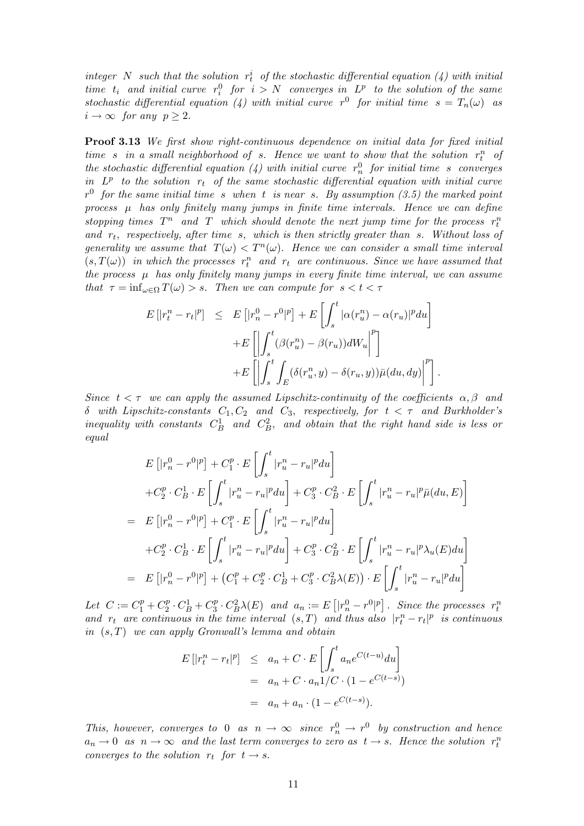integer N such that the solution  $r_t^i$  of the stochastic differential equation (4) with initial time  $t_i$  and initial curve  $r_i^0$  for  $i > N$  converges in  $L^p$  to the solution of the same stochastic differential equation (4) with initial curve  $r^0$  for initial time  $s = T_n(\omega)$  as  $i \to \infty$  for any  $p \geq 2$ .

Proof 3.13 We first show right-continuous dependence on initial data for fixed initial time s in a small neighborhood of s. Hence we want to show that the solution  $r_t^n$  of the stochastic differential equation (4) with initial curve  $r_n^0$  for initial time s converges in  $L^p$  to the solution  $r_t$  of the same stochastic differential equation with initial curve  $r<sup>0</sup>$  for the same initial time s when t is near s. By assumption (3.5) the marked point process  $\mu$  has only finitely many jumps in finite time intervals. Hence we can define stopping times  $T^n$  and  $T$  which should denote the next jump time for the process  $r_t^n$ and  $r_t$ , respectively, after time s, which is then strictly greater than s. Without loss of generality we assume that  $T(\omega) < T^{n}(\omega)$ . Hence we can consider a small time interval  $(s,T(\omega))$  in which the processes  $r_t^n$  and  $r_t$  are continuous. Since we have assumed that the process  $\mu$  has only finitely many jumps in every finite time interval, we can assume that  $\tau = \inf_{\omega \in \Omega} T(\omega) > s$ . Then we can compute for  $s < t < \tau$ 

$$
E\left[|r_t^n - r_t|^p\right] \leq E\left[|r_n^0 - r^0|^p\right] + E\left[\int_s^t |\alpha(r_u^n) - \alpha(r_u)|^p du\right] + E\left[\left|\int_s^t (\beta(r_u^n) - \beta(r_u))dW_u\right|^p\right] + E\left[\left|\int_s^t \int_E (\delta(r_u^n, y) - \delta(r_u, y))\bar{\mu}(du, dy)\right|^p\right].
$$

Since  $t < \tau$  we can apply the assumed Lipschitz-continuity of the coefficients  $\alpha, \beta$  and δ with Lipschitz-constants  $C_1, C_2$  and  $C_3$ , respectively, for  $t < τ$  and Burkholder's inequality with constants  $C_B^1$  and  $C_B^2$ , and obtain that the right hand side is less or equal

$$
E\left[|r_n^0 - r^0|^p\right] + C_1^p \cdot E\left[\int_s^t |r_u^n - r_u|^p du\right]
$$
  
+ $C_2^p \cdot C_B^1 \cdot E\left[\int_s^t |r_u^n - r_u|^p du\right] + C_3^p \cdot C_B^2 \cdot E\left[\int_s^t |r_u^n - r_u|^p \bar{\mu}(du, E)\right]$   
=  $E\left[|r_n^0 - r^0|^p\right] + C_1^p \cdot E\left[\int_s^t |r_u^n - r_u|^p du\right]$   
+ $C_2^p \cdot C_B^1 \cdot E\left[\int_s^t |r_u^n - r_u|^p du\right] + C_3^p \cdot C_B^2 \cdot E\left[\int_s^t |r_u^n - r_u|^p \lambda_u(E) du\right]$   
=  $E\left[|r_n^0 - r^0|^p\right] + \left(C_1^p + C_2^p \cdot C_B^1 + C_3^p \cdot C_B^2 \lambda(E)\right) \cdot E\left[\int_s^t |r_u^n - r_u|^p du\right]$ 

Let  $C := C_1^p + C_2^p$  $^{p}_{2}\cdot C_{B}^{1}+C_{3}^{p}$  ${}^{p}_{3} \cdot C_{B}^{2} \lambda(E)$  and  $a_{n} := E$  $\left|r_{n}^{0}-r^{0}|\mathbf{p}\right]$ . Since the processes  $r_t^n$ and  $r_t$  are continuous in the time interval  $(s,T)$  and thus also  $|r_t^n - r_t|^p$  is continuous in  $(s, T)$  we can apply Gronwall's lemma and obtain

$$
E[|r_t^n - r_t|^p] \le a_n + C \cdot E\left[\int_s^t a_n e^{C(t-u)} du\right]
$$
  
=  $a_n + C \cdot a_n 1/C \cdot (1 - e^{C(t-s)})$   
=  $a_n + a_n \cdot (1 - e^{C(t-s)}).$ 

This, however, converges to 0 as  $n \to \infty$  since  $r_n^0 \to r^0$  by construction and hence  $a_n \to 0$  as  $n \to \infty$  and the last term converges to zero as  $t \to s$ . Hence the solution  $r_t^n$ converges to the solution  $r_t$  for  $t \to s$ .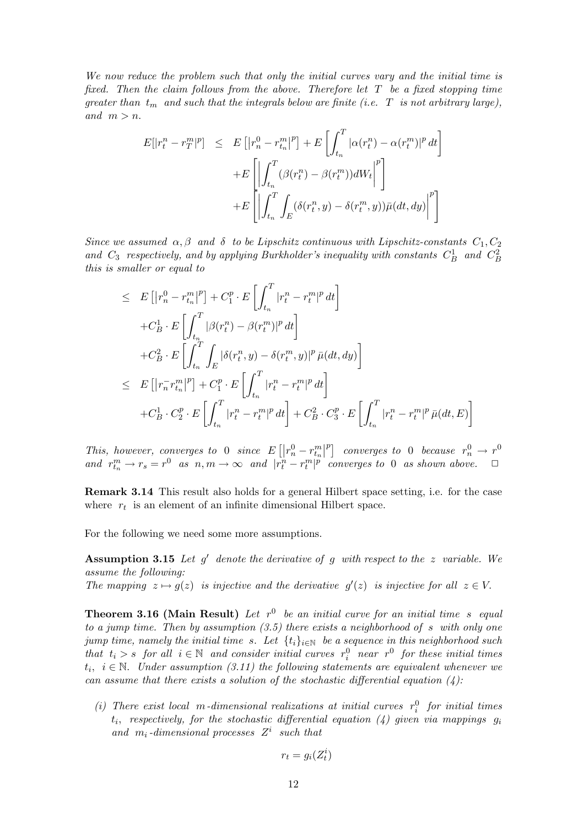We now reduce the problem such that only the initial curves vary and the initial time is fixed. Then the claim follows from the above. Therefore let  $T$  be a fixed stopping time greater than  $t_m$  and such that the integrals below are finite (i.e. T is not arbitrary large), and  $m > n$ .

$$
E[|r_t^n - r_T^m|^p] \leq E[|r_n^0 - r_{t_n}^m|^p] + E\left[\int_{t_n}^T |\alpha(r_t^n) - \alpha(r_t^m)|^p dt\right]
$$

$$
+ E\left[\left|\int_{t_n}^T (\beta(r_t^n) - \beta(r_t^m))dW_t\right|^p\right]
$$

$$
+ E\left[\left|\int_{t_n}^T \int_E (\delta(r_t^n, y) - \delta(r_t^m, y))\bar{\mu}(dt, dy)\right|^p\right]
$$

Since we assumed  $\alpha, \beta$  and  $\delta$  to be Lipschitz continuous with Lipschitz-constants  $C_1, C_2$ and  $C_3$  respectively, and by applying Burkholder's inequality with constants  $C_B^1$  and  $C_B^2$ this is smaller or equal to

$$
\leq E\left[ \left| r_n^0 - r_{t_n}^m \right|^p \right] + C_1^p \cdot E\left[ \int_{t_n}^T |r_t^n - r_t^m|^p dt \right] \n+ C_B^1 \cdot E\left[ \int_{t_n}^T |\beta(r_t^n) - \beta(r_t^m)|^p dt \right] \n+ C_B^2 \cdot E\left[ \int_{t_n}^T \int_E |\delta(r_t^n, y) - \delta(r_t^m, y)|^p \bar{\mu}(dt, dy) \right] \n\leq E\left[ \left| r_n^- r_{t_n}^m \right|^p \right] + C_1^p \cdot E\left[ \int_{t_n}^T |r_t^n - r_t^m|^p dt \right] \n+ C_B^1 \cdot C_2^p \cdot E\left[ \int_{t_n}^T |r_t^n - r_t^m|^p dt \right] + C_B^2 \cdot C_3^p \cdot E\left[ \int_{t_n}^T |r_t^n - r_t^m|^p \bar{\mu}(dt, E) \right]
$$

This, however, converges to 0 since E  $\left[\left|r_{n}^{0}-r_{t_{n}}^{m}\right|\right]$  $|p|$ converges to 0 because  $r_n^0 \rightarrow r^0$ and  $r_{t_n}^m \to r_s = r^0$  as  $n, m \to \infty$  and  $|r_t^n - r_t^m|^{p}$  converges to 0 as shown above.  $\Box$ 

Remark 3.14 This result also holds for a general Hilbert space setting, i.e. for the case where  $r_t$  is an element of an infinite dimensional Hilbert space.

For the following we need some more assumptions.

**Assumption 3.15** Let  $g'$  denote the derivative of g with respect to the z variable. We assume the following: The mapping  $z \mapsto g(z)$  is injective and the derivative  $g'(z)$  is injective for all  $z \in V$ .

**Theorem 3.16 (Main Result)** Let  $r^0$  be an initial curve for an initial time s equal to a jump time. Then by assumption  $(3.5)$  there exists a neighborhood of s with only one jump time, namely the initial time s. Let  $\{t_i\}_{i\in\mathbb{N}}$  be a sequence in this neighborhood such that  $t_i > s$  for all  $i \in \mathbb{N}$  and consider initial curves  $r_i^0$  near  $r^0$  for these initial times  $t_i, i \in \mathbb{N}$ . Under assumption (3.11) the following statements are equivalent whenever we can assume that there exists a solution of the stochastic differential equation  $(4)$ :

(i) There exist local m-dimensional realizations at initial curves  $r_i^0$  for initial times  $t_i$ , respectively, for the stochastic differential equation  $(4)$  given via mappings  $g_i$ and  $m_i$ -dimensional processes  $Z^i$  such that

$$
r_t = g_i(Z_t^i)
$$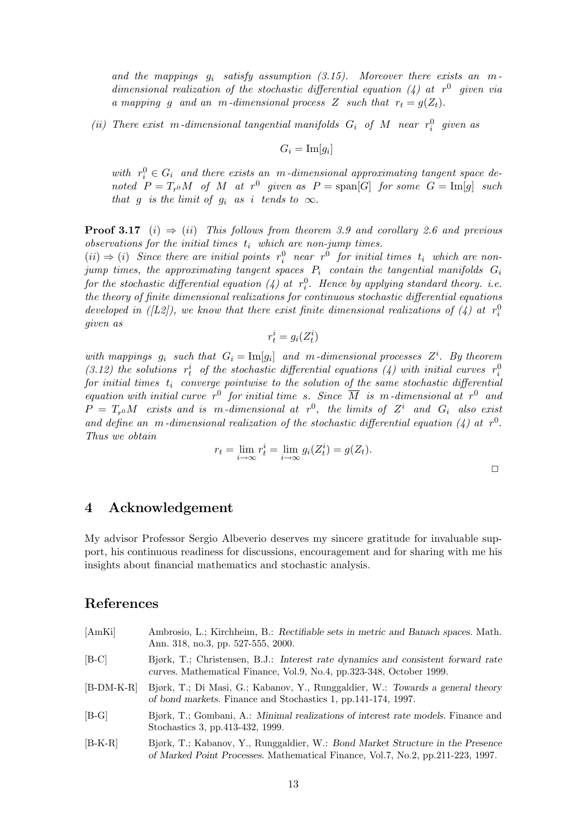and the mappings  $g_i$  satisfy assumption (3.15). Moreover there exists an mdimensional realization of the stochastic differential equation (4) at  $r^0$  given via a mapping g and an m-dimensional process Z such that  $r_t = g(Z_t)$ .

(ii) There exist m-dimensional tangential manifolds  $G_i$  of M near  $r_i^0$  given as

$$
G_i = \mathrm{Im}[g_i]
$$

with  $r_i^0 \in G_i$  and there exists an m-dimensional approximating tangent space denoted  $P = T_{r0}M$  of M at  $r^0$  given as  $P = \text{span}[G]$  for some  $G = \text{Im}[g]$  such that g is the limit of  $q_i$  as i tends to  $\infty$ .

**Proof 3.17** (i)  $\Rightarrow$  (ii) This follows from theorem 3.9 and corollary 2.6 and previous observations for the initial times  $t_i$  which are non-jump times.

 $(ii) \Rightarrow (i)$  Since there are initial points  $r_i^0$  near  $r^0$  for initial times  $t_i$  which are nonjump times, the approximating tangent spaces  $P_i$  contain the tangential manifolds  $G_i$ for the stochastic differential equation (4) at  $r_i^0$ . Hence by applying standard theory. i.e. the theory of finite dimensional realizations for continuous stochastic differential equations developed in ([L2]), we know that there exist finite dimensional realizations of (4) at  $r_i^0$ given as

$$
r_t^i = g_i(Z_t^i)
$$

with mappings  $g_i$  such that  $G_i = \text{Im}[g_i]$  and m-dimensional processes  $Z^i$ . By theorem (3.12) the solutions  $r_t^i$  of the stochastic differential equations (4) with initial curves  $r_i^0$ for initial times  $t_i$  converge pointwise to the solution of the same stochastic differential equation with initial curve  $r^0$  for initial time s. Since  $\overline{M}$  is m-dimensional at  $r^0$  and  $P = T_{r0}M$  exists and is m-dimensional at  $r^{0}$ , the limits of  $Z^{i}$  and  $G_{i}$  also exist and define an m-dimensional realization of the stochastic differential equation  $(4)$  at r<sup>0</sup>. Thus we obtain

$$
r_t = \lim_{i \to \infty} r_t^i = \lim_{i \to \infty} g_i(Z_t^i) = g(Z_t).
$$

## 4 Acknowledgement

My advisor Professor Sergio Albeverio deserves my sincere gratitude for invaluable support, his continuous readiness for discussions, encouragement and for sharing with me his insights about financial mathematics and stochastic analysis.

# References

| [AmKi]    | Ambrosio, L.; Kirchheim, B.: Rectifiable sets in metric and Banach spaces. Math.<br>Ann. 318, no.3, pp. 527-555, 2000.                                             |
|-----------|--------------------------------------------------------------------------------------------------------------------------------------------------------------------|
| $[B-C]$   | Bjørk, T.; Christensen, B.J.: Interest rate dynamics and consistent forward rate<br>curves. Mathematical Finance, Vol.9, No.4, pp.323-348, October 1999.           |
| B-DM-K-R] | Bjørk, T.; Di Masi, G.; Kabanov, Y., Runggaldier, W.: Towards a general theory<br>of bond markets. Finance and Stochastics 1, pp. 141-174, 1997.                   |
| $[B-G]$   | Bjørk, T.; Gombani, A.: Minimal realizations of interest rate models. Finance and<br>Stochastics 3, pp.413-432, 1999.                                              |
| $[B-K-R]$ | Bjørk, T.; Kabanov, Y., Runggaldier, W.: Bond Market Structure in the Presence<br>of Marked Point Processes. Mathematical Finance, Vol.7, No.2, pp. 211-223, 1997. |